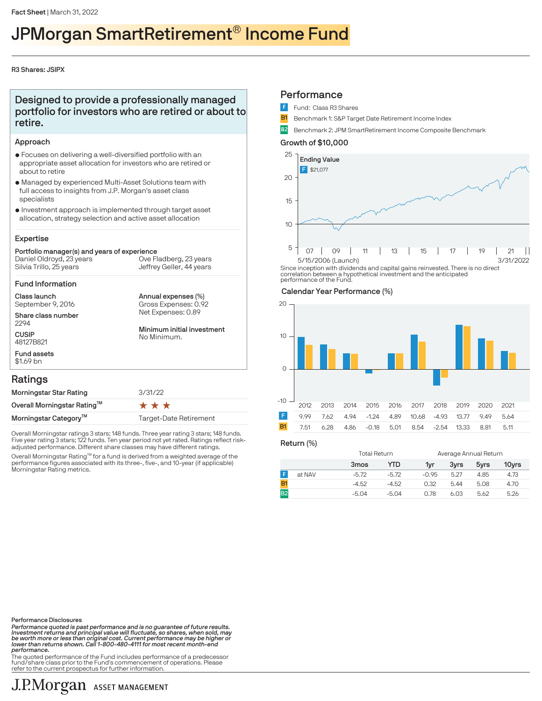# JPMorgan SmartRetirement® Income Fund

# R3 Shares: JSIPX

# Designed to provide a professionally managed portfolio for investors who are retired or about to retire.

# Approach

- $\bullet$  Focuses on delivering a well-diversified portfolio with an appropriate asset allocation for investors who are retired or about to retire
- $\bullet$  Managed by experienced Multi-Asset Solutions team with full access to insights from J.P. Morgan's asset class specialists
- $\bullet$  Investment approach is implemented through target asset allocation, strategy selection and active asset allocation

# Expertise

#### Portfolio manager(s) and years of experience Silvia Trillo, 25 years Daniel Oldroyd, 23 years Jeffrey Geller, 44 years Ove Fladberg, 23 years

### Fund Information

Class launch September 9, 2016

Share class number 2294

**CUSIP** 48127B821 Fund assets Annual expenses (%) Net Expenses: 0.89 Gross Expenses: 0.92

Minimum initial investment No Minimum.

# Ratings

\$1.69 bn

| Morningstar Star Rating           | 3/31/22                |  |  |  |
|-----------------------------------|------------------------|--|--|--|
| Overall Morningstar Rating™       | ***                    |  |  |  |
| Morningstar Category <sup>™</sup> | Target-Date Retirement |  |  |  |

Overall Morningstar ratings 3 stars; 148 funds. Three year rating 3 stars; 148 funds. Five year rating 3 stars; 122 funds. Ten year period not yet rated. Ratings reflect riskadjusted performance. Different share classes may have different ratings.

Overall Morningstar Rating™ for a fund is derived from a weighted average of the performance figures associated with its three-, five-, and 10-year (if applicable) Morningstar Rating metrics.

# **Performance**

- Fund: Class R3 Shares
- **B1** Benchmark 1: S&P Target Date Retirement Income Index
- B2 Benchmark 2: JPM SmartRetirement Income Composite Benchmark

# Growth of \$10,000



Since inception with dividends and capital gains reinvested. There is no direct correlation between a hypothetical investment and the anticipated performance of the Fund.

# Calendar Year Performance (%)



Return (%)

|        | <b>Total Return</b> |         |         | Average Annual Return |      |       |  |
|--------|---------------------|---------|---------|-----------------------|------|-------|--|
|        | 3mos                | YTD     | 1vr     | 3vrs                  | 5yrs | 10yrs |  |
| at NAV | $-5.72$             | $-5.72$ | $-0.95$ | 5.27                  | 4.85 | 4.73  |  |
|        | $-4.52$             | $-4.52$ | 0.32    | 5.44                  | 5.08 | 4.70  |  |
|        | $-5.04$             | $-5.04$ | 0.78    | 6.03                  | 5.62 | 5.26  |  |

Performance Disclosures

Performance quoted is past performance and is no guarantee of future results.<br>Investment returns and principal value will fluctuate, so shares, when sold, may<br>be worth more or less than original cost. Current performance m performance.

.<br>The quoted performance of the Fund includes performance of a predecessor fund/share class prior to the Fund's commencement of operations. Please refer to the current prospectus for further information.

# J.P.Morgan ASSET MANAGEMENT